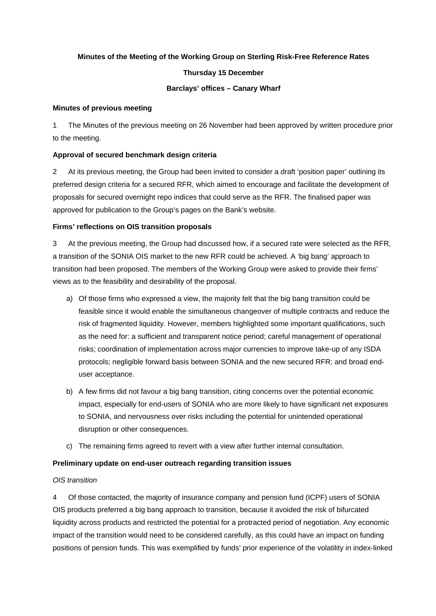### **Minutes of the Meeting of the Working Group on Sterling Risk-Free Reference Rates**

### **Thursday 15 December**

### **Barclays' offices – Canary Wharf**

#### **Minutes of previous meeting**

1 The Minutes of the previous meeting on 26 November had been approved by written procedure prior to the meeting.

### **Approval of secured benchmark design criteria**

2 At its previous meeting, the Group had been invited to consider a draft 'position paper' outlining its preferred design criteria for a secured RFR, which aimed to encourage and facilitate the development of proposals for secured overnight repo indices that could serve as the RFR. The finalised paper was approved for publication to the Group's pages on the Bank's website.

### **Firms' reflections on OIS transition proposals**

3 At the previous meeting, the Group had discussed how, if a secured rate were selected as the RFR, a transition of the SONIA OIS market to the new RFR could be achieved. A 'big bang' approach to transition had been proposed. The members of the Working Group were asked to provide their firms' views as to the feasibility and desirability of the proposal.

- a) Of those firms who expressed a view, the majority felt that the big bang transition could be feasible since it would enable the simultaneous changeover of multiple contracts and reduce the risk of fragmented liquidity. However, members highlighted some important qualifications, such as the need for: a sufficient and transparent notice period; careful management of operational risks; coordination of implementation across major currencies to improve take-up of any ISDA protocols; negligible forward basis between SONIA and the new secured RFR; and broad enduser acceptance.
- b) A few firms did not favour a big bang transition, citing concerns over the potential economic impact, especially for end-users of SONIA who are more likely to have significant net exposures to SONIA, and nervousness over risks including the potential for unintended operational disruption or other consequences.
- c) The remaining firms agreed to revert with a view after further internal consultation.

### **Preliminary update on end-user outreach regarding transition issues**

## *OIS transition*

4 Of those contacted, the majority of insurance company and pension fund (ICPF) users of SONIA OIS products preferred a big bang approach to transition, because it avoided the risk of bifurcated liquidity across products and restricted the potential for a protracted period of negotiation. Any economic impact of the transition would need to be considered carefully, as this could have an impact on funding positions of pension funds. This was exemplified by funds' prior experience of the volatility in index-linked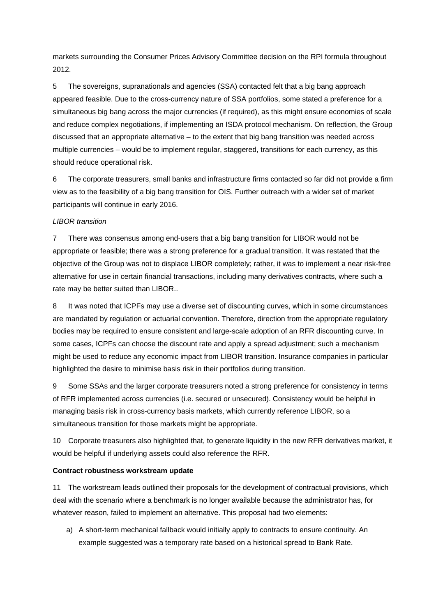markets surrounding the Consumer Prices Advisory Committee decision on the RPI formula throughout 2012.

5 The sovereigns, supranationals and agencies (SSA) contacted felt that a big bang approach appeared feasible. Due to the cross-currency nature of SSA portfolios, some stated a preference for a simultaneous big bang across the major currencies (if required), as this might ensure economies of scale and reduce complex negotiations, if implementing an ISDA protocol mechanism. On reflection, the Group discussed that an appropriate alternative – to the extent that big bang transition was needed across multiple currencies – would be to implement regular, staggered, transitions for each currency, as this should reduce operational risk.

6 The corporate treasurers, small banks and infrastructure firms contacted so far did not provide a firm view as to the feasibility of a big bang transition for OIS. Further outreach with a wider set of market participants will continue in early 2016.

### *LIBOR transition*

7 There was consensus among end-users that a big bang transition for LIBOR would not be appropriate or feasible; there was a strong preference for a gradual transition. It was restated that the objective of the Group was not to displace LIBOR completely; rather, it was to implement a near risk-free alternative for use in certain financial transactions, including many derivatives contracts, where such a rate may be better suited than LIBOR..

8 It was noted that ICPFs may use a diverse set of discounting curves, which in some circumstances are mandated by regulation or actuarial convention. Therefore, direction from the appropriate regulatory bodies may be required to ensure consistent and large-scale adoption of an RFR discounting curve. In some cases, ICPFs can choose the discount rate and apply a spread adjustment; such a mechanism might be used to reduce any economic impact from LIBOR transition. Insurance companies in particular highlighted the desire to minimise basis risk in their portfolios during transition.

9 Some SSAs and the larger corporate treasurers noted a strong preference for consistency in terms of RFR implemented across currencies (i.e. secured or unsecured). Consistency would be helpful in managing basis risk in cross-currency basis markets, which currently reference LIBOR, so a simultaneous transition for those markets might be appropriate.

10 Corporate treasurers also highlighted that, to generate liquidity in the new RFR derivatives market, it would be helpful if underlying assets could also reference the RFR.

### **Contract robustness workstream update**

11 The workstream leads outlined their proposals for the development of contractual provisions, which deal with the scenario where a benchmark is no longer available because the administrator has, for whatever reason, failed to implement an alternative. This proposal had two elements:

a) A short-term mechanical fallback would initially apply to contracts to ensure continuity. An example suggested was a temporary rate based on a historical spread to Bank Rate.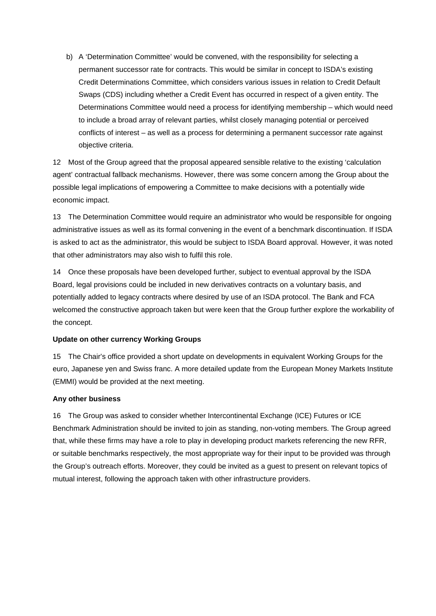b) A 'Determination Committee' would be convened, with the responsibility for selecting a permanent successor rate for contracts. This would be similar in concept to ISDA's existing Credit Determinations Committee, which considers various issues in relation to Credit Default Swaps (CDS) including whether a Credit Event has occurred in respect of a given entity. The Determinations Committee would need a process for identifying membership – which would need to include a broad array of relevant parties, whilst closely managing potential or perceived conflicts of interest – as well as a process for determining a permanent successor rate against objective criteria.

12 Most of the Group agreed that the proposal appeared sensible relative to the existing 'calculation agent' contractual fallback mechanisms. However, there was some concern among the Group about the possible legal implications of empowering a Committee to make decisions with a potentially wide economic impact.

13 The Determination Committee would require an administrator who would be responsible for ongoing administrative issues as well as its formal convening in the event of a benchmark discontinuation. If ISDA is asked to act as the administrator, this would be subject to ISDA Board approval. However, it was noted that other administrators may also wish to fulfil this role.

14 Once these proposals have been developed further, subject to eventual approval by the ISDA Board, legal provisions could be included in new derivatives contracts on a voluntary basis, and potentially added to legacy contracts where desired by use of an ISDA protocol. The Bank and FCA welcomed the constructive approach taken but were keen that the Group further explore the workability of the concept.

### **Update on other currency Working Groups**

15 The Chair's office provided a short update on developments in equivalent Working Groups for the euro, Japanese yen and Swiss franc. A more detailed update from the European Money Markets Institute (EMMI) would be provided at the next meeting.

# **Any other business**

16 The Group was asked to consider whether Intercontinental Exchange (ICE) Futures or ICE Benchmark Administration should be invited to join as standing, non-voting members. The Group agreed that, while these firms may have a role to play in developing product markets referencing the new RFR, or suitable benchmarks respectively, the most appropriate way for their input to be provided was through the Group's outreach efforts. Moreover, they could be invited as a guest to present on relevant topics of mutual interest, following the approach taken with other infrastructure providers.